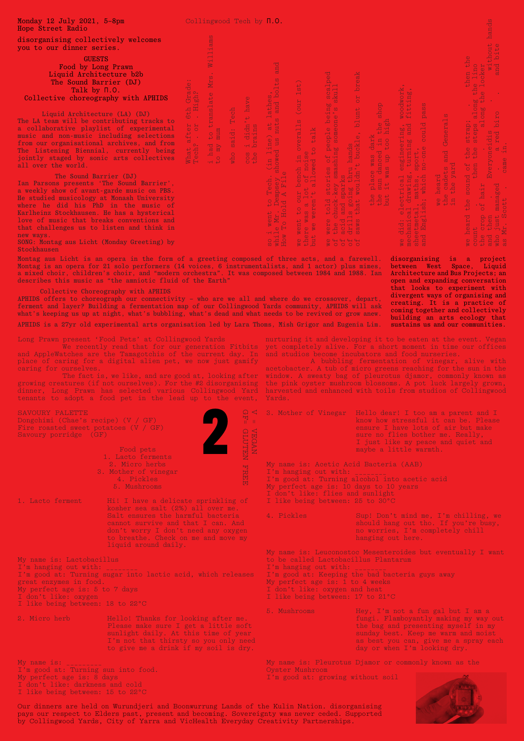## SAVOURY PALETTE

## Long Prawn present 'Food Pets' at Collingwood Yards

| $\rightarrow$ $\overline{\text{GF}}$<br>(V / GF) |  |
|--------------------------------------------------|--|
| d pets                                           |  |
| o ferments                                       |  |
| cro herbs                                        |  |
| r of vinegar                                     |  |
| Pickles                                          |  |
| ushrooms                                         |  |

- I'm good at: Turning alcohol into acetic acid
- My perfect age is: 10 days to 10 years
- I don't like: flies and sunlight
- I like being between: 25 to 30°C

| Monday 12 July 2021, 5-8pm<br>Hope Street Radio                                                                                                                                                                                                                                                                                                                                                                          |                                                                                                                                                                                                                                                           | Collingwood Tech by $\Pi.0$ .                                                                                                                                                                                                         |                                        |                                                                                                                                                                                                                                                                                           |                                                                                                                                                                                                                                                                                                         |                                                                                                                                                                                                                                                                                                                                                                                                                                                                                                                                                                                                                                                                                                |                                                                                                                                                                           |                                                                                                                                                                                                                                                                                                                                                                                          |                                                                                                                                                                                                                                  |                                                                                                                                                                                                                                                                                                                                                                                                                                                    |
|--------------------------------------------------------------------------------------------------------------------------------------------------------------------------------------------------------------------------------------------------------------------------------------------------------------------------------------------------------------------------------------------------------------------------|-----------------------------------------------------------------------------------------------------------------------------------------------------------------------------------------------------------------------------------------------------------|---------------------------------------------------------------------------------------------------------------------------------------------------------------------------------------------------------------------------------------|----------------------------------------|-------------------------------------------------------------------------------------------------------------------------------------------------------------------------------------------------------------------------------------------------------------------------------------------|---------------------------------------------------------------------------------------------------------------------------------------------------------------------------------------------------------------------------------------------------------------------------------------------------------|------------------------------------------------------------------------------------------------------------------------------------------------------------------------------------------------------------------------------------------------------------------------------------------------------------------------------------------------------------------------------------------------------------------------------------------------------------------------------------------------------------------------------------------------------------------------------------------------------------------------------------------------------------------------------------------------|---------------------------------------------------------------------------------------------------------------------------------------------------------------------------|------------------------------------------------------------------------------------------------------------------------------------------------------------------------------------------------------------------------------------------------------------------------------------------------------------------------------------------------------------------------------------------|----------------------------------------------------------------------------------------------------------------------------------------------------------------------------------------------------------------------------------|----------------------------------------------------------------------------------------------------------------------------------------------------------------------------------------------------------------------------------------------------------------------------------------------------------------------------------------------------------------------------------------------------------------------------------------------------|
| disorganising collectively welcomes<br>you to our dinner series.                                                                                                                                                                                                                                                                                                                                                         |                                                                                                                                                                                                                                                           | ams<br>$\cdot$ H                                                                                                                                                                                                                      |                                        |                                                                                                                                                                                                                                                                                           |                                                                                                                                                                                                                                                                                                         |                                                                                                                                                                                                                                                                                                                                                                                                                                                                                                                                                                                                                                                                                                |                                                                                                                                                                           |                                                                                                                                                                                                                                                                                                                                                                                          |                                                                                                                                                                                                                                  |                                                                                                                                                                                                                                                                                                                                                                                                                                                    |
| <b>GUESTS</b><br>Food by Long Prawn<br>Liquid Architecture b2b<br>The Sound Barrier (DJ)<br>Talk by $\Pi$ .0.                                                                                                                                                                                                                                                                                                            |                                                                                                                                                                                                                                                           | $W_1$<br>Mrs<br>chae.<br>Grac                                                                                                                                                                                                         |                                        | and<br>$\sigma$<br>$\mapsto$                                                                                                                                                                                                                                                              | $\vert \frac{1}{2} \vert$<br>$\overline{\phantom{0}}$                                                                                                                                                                                                                                                   | $\overline{\mathbf{C}}$<br>$\mathbf{Q}_1$<br>$\overline{\phantom{a}}$<br>$\alpha$ $\Box$<br>$rac{1}{2}$                                                                                                                                                                                                                                                                                                                                                                                                                                                                                                                                                                                        | χp<br>$\bigcirc$<br>$\overline{\mathbf{C}}$                                                                                                                               | 20H                                                                                                                                                                                                                                                                                                                                                                                      |                                                                                                                                                                                                                                  | $\circ$                                                                                                                                                                                                                                                                                                                                                                                                                                            |
| Collective choreography with APHIDS<br>Liquid Architecture (LA) (DJ)<br>The LA team will be contributing tracks to<br>a collaborative playlist of experimental<br>music and non-music including selections<br>from our organisational archives, and from<br>The Listening Biennial, currently being<br>jointly staged by sonic arts collectives<br>all over the world.                                                   |                                                                                                                                                                                                                                                           | ate<br>$6th$ $\pm$<br>$_{\rm ech}$<br>$\alpha$<br>$H^+$<br>ror.<br>$\mapsto$<br>$\sim 10$<br>$t$ o 1<br>said<br>What at<br>Tech?<br>had<br>who<br>$\begin{array}{c}\n\mathbf{1} & \mathbf{p} \\ \mathbf{p} & \mathbf{p}\n\end{array}$ | $\circ$<br><b>Ale</b><br>$\frac{1}{2}$ | $\overline{0}$ $\overline{0}$<br>$\frac{1}{2}$ and<br>$\overline{a}$ ಹ<br>$\frac{1}{1}$<br>$\frac{a}{b}$<br>$\overline{\frown}$ $\overline{\frown}$<br>an<br>us<br>$\frac{1}{10}$<br>WO.                                                                                                  | ano<br>in overalls<br>ise<br>d to talk<br>ה ה $\overline{C}$<br>$\circ$                                                                                                                                                                                                                                 | $\Omega$<br>$\omega$<br>$\Box$ 0<br>and so<br>$\overline{\mathbb{O}}$ $\overline{\mathbb{O}}$<br>$\Box$<br>people<br>people<br>$\overline{\mathbf{z}}$ is<br>L hands<br>ਾਂ ਸ<br>$\vdash\vdash\vdash$<br>$\sim$ $\alpha$<br>ies<br>sma<br>$\overline{a}$ $\overline{H}$ $\overline{B}$ $\overline{C}$                                                                                                                                                                                                                                                                                                                                                                                           | shop<br>blunt<br>ہے ہے<br>$\circ$<br>$\Xi$ . E $\Omega$<br>$\Delta \frac{1}{\Delta}$<br>lace was<br>in danced<br><i>r</i> was up                                          | $\begin{array}{cc} \square & \square \end{array}$<br>$\mathbb{R}$ . $\vdash$<br>はっ<br>$O + D$<br>$\begin{array}{c}\n 0 \\  1\n \end{array}$<br>could<br>ng,<br>∙H :<br>er<br>ng                                                                                                                                                                                                          | Gene:<br>$\sigma$                                                                                                                                                                                                                | $O$ $60$<br>$\begin{array}{ c c c }\hline a&5 \end{array}$<br>$\sim$ $\sim$<br>rap a'<br>e p'a'<br>$\Delta$<br>$\overline{\omega}$ $\overline{\omega}$<br><b>RED</b><br>$+ +$<br>d<br>$\overline{w}$ $\overline{w}$<br>the<br>the<br>ne f<br>$\mathbb{O}$ . $\mathbb{C}$                                                                                                                                                                           |
| The Sound Barrier (DJ)<br>Ian Parsons presents 'The Sound Barrier',<br>a weekly show of avant-garde music on PBS.<br>He studied musicology at Monash University<br>where he did his PhD in the music of<br>Karlheinz Stockhausen. He has a hysterical<br>love of music that breaks conventions and<br>that challenges us to listen and think in<br>new ways.<br>SONG: Montag aus Licht (Monday Greeting) by              |                                                                                                                                                                                                                                                           |                                                                                                                                                                                                                                       |                                        | went<br>To H <sub>1</sub>                                                                                                                                                                                                                                                                 | $\frac{1}{2}$<br><b>BOTH</b><br>$\leftrightarrow$ 0 $\leftrightarrow$<br>$\Rightarrow$ $\rightarrow$ $\sim$<br>$\vec{a}$ $\vec{v}$<br>$\alpha \geq$<br>$\begin{array}{c} \mathbf{H} \\ \mathbf{B} \\ \mathbf{B} \end{array}$<br>$\begin{array}{ccc} 0 & 0 \\ \end{array}$<br>$\circ$ $\circ$<br>$x + 5$ | $\mapsto$ $\mapsto$<br>sto:<br><b>Expari</b><br><b>Exparison:</b><br><b>Exparison:</b><br>$\mathbf{u} \in \mathbf{Q}$<br>told<br>iduck<br>and<br>s<br>iduck<br>iduck<br>that<br>$\frac{1}{\alpha}$<br>$\Phi$<br>$\equiv$ $\vdash$ $\vdash$ $\vdash$ $\vdash$<br>$D$ $H$ $D$ $D$ $D$<br>$\alpha \in \mathbb{R}^2 \setminus \mathbb{R}^2$<br>$\begin{picture}(16,17) \put(0,0){\line(1,0){10}} \put(10,0){\line(1,0){10}} \put(10,0){\line(1,0){10}} \put(10,0){\line(1,0){10}} \put(10,0){\line(1,0){10}} \put(10,0){\line(1,0){10}} \put(10,0){\line(1,0){10}} \put(10,0){\line(1,0){10}} \put(10,0){\line(1,0){10}} \put(10,0){\line(1,0){10}} \put(10,0){\line(1,0){10}} \put(10,0){\line(1$ | $\frac{1}{2}$ $\frac{1}{2}$ $\frac{1}{2}$<br>$\begin{array}{ccccc}\n\bullet & \bullet & \bullet\n\end{array}$<br>$\frac{1}{2}$                                            | $\mathbb{R}^{\mathbb{Z}}$<br>$\overline{0}$<br>$\begin{bmatrix} 1 \\ 2 \\ 3 \\ 4 \\ 5 \end{bmatrix}$<br><b>TAB</b><br>$\mathbb{R}^n$<br>$\overline{\overline{H}}$ $\overline{\overline{H}}$ $\overline{\overline{H}}$ $\overline{\overline{W}}$<br>$\omega$ a $\alpha$ . H<br>$O + H$<br><u> דו סיסטי</u><br>$\vdash$ $\vdash$ $\mathbb{Z}$<br>$\sigma = 0$<br>we<br>mecle<br>and<br>and | $7 + 7$<br>heard<br>e cade<br>l the :<br>$\begin{array}{ c c c }\hline \textbf{Q} & \textbf{L} & \textbf{L} \\ \hline \textbf{Q} & \textbf{L} & \textbf{L} \\ \hline \textbf{L} & \textbf{L} & \textbf{L} \\ \hline \end{array}$ | sound c<br>$E_{V}$<br>ged<br>$\mathbb{R}$<br>$\mathfrak{a}$ . $\mathfrak{a}$<br>de di                                                                                                                                                                                                                                                                                                                                                              |
| Stockhausen<br>Montag aus Licht is an opera in the form of a greeting composed of three acts, and a farewell. disorganising is a project<br>Montag is an opera for 21 solo performers (14 voices, 6 instrumentalists, and 1 actor) plus mimes,<br>a mixed choir, children's choir, and "modern orchestra". It was composed between 1984 and 1988. Ian<br>describes this music as "the amniotic fluid of the Earth"       |                                                                                                                                                                                                                                                           |                                                                                                                                                                                                                                       |                                        |                                                                                                                                                                                                                                                                                           |                                                                                                                                                                                                                                                                                                         |                                                                                                                                                                                                                                                                                                                                                                                                                                                                                                                                                                                                                                                                                                |                                                                                                                                                                           |                                                                                                                                                                                                                                                                                                                                                                                          |                                                                                                                                                                                                                                  | between West Space, Liquid<br>Architecture and Bus Projects; an<br>open and expanding conversation                                                                                                                                                                                                                                                                                                                                                 |
| APHIDS offers to choreograph our connectivity - who are we all and where do we crossover, depart,<br>ferment and layer? Building a fermentation map of our Collingwood Yards community, APHIDS will ask<br>what's keeping us up at night, what's bubbling, what's dead and what needs to be revived or grow anew.<br>APHIDS is a 27yr old experimental arts organisation led by Lara Thoms, Mish Grigor and Eugenia Lim. | Collective Choreography with APHIDS                                                                                                                                                                                                                       |                                                                                                                                                                                                                                       |                                        |                                                                                                                                                                                                                                                                                           |                                                                                                                                                                                                                                                                                                         |                                                                                                                                                                                                                                                                                                                                                                                                                                                                                                                                                                                                                                                                                                |                                                                                                                                                                           |                                                                                                                                                                                                                                                                                                                                                                                          |                                                                                                                                                                                                                                  | that looks to experiment with<br>divergent ways of organising and<br>creating. It is a practice of<br>coming together and collectively<br>building an arts ecology that<br>sustains us and our communities.                                                                                                                                                                                                                                        |
| Long Prawn present 'Food Pets' at Collingwood Yards<br>and AppleWatches are the Tamagotchis of the current day. In<br>place of caring for a digital alien pet, we now just gamify<br>caring for ourselves.<br>growing creatures (if not ourselves). For the #2 disorganising<br>dinner, Long Prawn has selected various Collingwood Yard<br>tenants to adopt a food pet in the lead up to the event,                     | We recently read that for our generation Fitbits<br>The fact is, we like, and are good at, looking after                                                                                                                                                  |                                                                                                                                                                                                                                       |                                        | Yards.                                                                                                                                                                                                                                                                                    |                                                                                                                                                                                                                                                                                                         |                                                                                                                                                                                                                                                                                                                                                                                                                                                                                                                                                                                                                                                                                                |                                                                                                                                                                           | and studios become incubators and food nurseries.                                                                                                                                                                                                                                                                                                                                        |                                                                                                                                                                                                                                  | nurturing it and developing it to be eaten at the event. Vegan<br>yet completely alive. For a short moment in time our offices<br>A bubbling fermentation of vinegar, alive with<br>acetobacter. A tub of micro greens reaching for the sun in the<br>window. A sweaty bag of pleurotus djamor, commonly known as<br>the pink oyster mushroom blossoms. A pot luck largely grown,<br>harvested and enhanced with toils from studios of Collingwood |
| SAVOURY PALETTE<br>Dongchimi (Chae's recipe) (V / GF)<br>Fire roasted sweet potatoes $(V / GF)$<br>Savoury porridge (GF)                                                                                                                                                                                                                                                                                                 |                                                                                                                                                                                                                                                           |                                                                                                                                                                                                                                       | 봄 ㅠ<br><b>VECTURN</b><br>CLUTEN        | $\Omega$ < 3. Mother of Vinegar                                                                                                                                                                                                                                                           |                                                                                                                                                                                                                                                                                                         |                                                                                                                                                                                                                                                                                                                                                                                                                                                                                                                                                                                                                                                                                                |                                                                                                                                                                           | Hello dear! I too am a parent and I<br>know how stressful it can be. Please<br>ensure I have lots of air but make<br>sure no flies bother me. Really,<br>I just like my peace and quiet and                                                                                                                                                                                              |                                                                                                                                                                                                                                  |                                                                                                                                                                                                                                                                                                                                                                                                                                                    |
|                                                                                                                                                                                                                                                                                                                                                                                                                          | Food pets<br>1. Lacto ferments<br>2. Micro herbs<br>3. Mother of vinegar<br>4. Pickles<br>5. Mushrooms                                                                                                                                                    |                                                                                                                                                                                                                                       | <b>FREE</b>                            | maybe a little warmth.<br>My name is: Acetic Acid Bacteria (AAB)<br>I'm hanging out with: ________<br>I'm good at: Turning alcohol into acetic acid<br>My perfect age is: 10 days to 10 years<br>I don't like: flies and sunlight                                                         |                                                                                                                                                                                                                                                                                                         |                                                                                                                                                                                                                                                                                                                                                                                                                                                                                                                                                                                                                                                                                                |                                                                                                                                                                           |                                                                                                                                                                                                                                                                                                                                                                                          |                                                                                                                                                                                                                                  |                                                                                                                                                                                                                                                                                                                                                                                                                                                    |
| 1. Lacto ferment                                                                                                                                                                                                                                                                                                                                                                                                         | Hi! I have a delicate sprinkling of<br>kosher sea salt (2%) all over me.<br>Salt ensures the harmful bacteria<br>cannot survive and that I can. And<br>don't worry I don't need any oxygen<br>to breathe. Check on me and move my<br>liquid around daily. |                                                                                                                                                                                                                                       |                                        | 4. Pickles                                                                                                                                                                                                                                                                                |                                                                                                                                                                                                                                                                                                         |                                                                                                                                                                                                                                                                                                                                                                                                                                                                                                                                                                                                                                                                                                | I like being between: 25 to 30°C<br>Sup! Don't mind me, I'm chilling, we<br>should hang out tho. If you're busy,<br>no worries, I'm completely chill<br>hanging out here. |                                                                                                                                                                                                                                                                                                                                                                                          |                                                                                                                                                                                                                                  |                                                                                                                                                                                                                                                                                                                                                                                                                                                    |
| My name is: Lactobacillus<br>I'm hanging out with:<br>I'm good at: Turning sugar into lactic acid, which releases<br>great enzymes in food.<br>My perfect age is: 5 to 7 days                                                                                                                                                                                                                                            |                                                                                                                                                                                                                                                           |                                                                                                                                                                                                                                       |                                        | My name is: Leuconostoc Mesenteroides but eventually I want<br>to be called Lactobacillus Plantarum<br>I'm hanging out with: ________<br>I'm good at: Keeping the bad bacteria guys away<br>My perfect age is: 1 to 4 weeks<br>I don't like: oxygen and heat                              |                                                                                                                                                                                                                                                                                                         |                                                                                                                                                                                                                                                                                                                                                                                                                                                                                                                                                                                                                                                                                                |                                                                                                                                                                           |                                                                                                                                                                                                                                                                                                                                                                                          |                                                                                                                                                                                                                                  |                                                                                                                                                                                                                                                                                                                                                                                                                                                    |
| I don't like: oxygen<br>I like being between: 18 to 22°C<br>2. Micro herb                                                                                                                                                                                                                                                                                                                                                | Hello! Thanks for looking after me.<br>Please make sure I get a little soft<br>sunlight daily. At this time of year<br>I'm not that thirsty so you only need<br>to give me a drink if my soil is dry.                                                     |                                                                                                                                                                                                                                       |                                        | I like being between: 17 to 21°C<br>5. Mushrooms<br>Hey, $I'm$ not a fun gal but $I am a$<br>fungi. Flamboyantly making my way out<br>the bag and presenting myself in my<br>sunday best. Keep me warm and moist<br>as best you can, give me a spray each<br>day or when I'm looking dry. |                                                                                                                                                                                                                                                                                                         |                                                                                                                                                                                                                                                                                                                                                                                                                                                                                                                                                                                                                                                                                                |                                                                                                                                                                           |                                                                                                                                                                                                                                                                                                                                                                                          |                                                                                                                                                                                                                                  |                                                                                                                                                                                                                                                                                                                                                                                                                                                    |
| My name is:<br>I'm good at: Turning sun into food.<br>My perfect age is: 8 days<br>I don't like: darkness and cold<br>I like being between: 15 to 22°C                                                                                                                                                                                                                                                                   |                                                                                                                                                                                                                                                           |                                                                                                                                                                                                                                       |                                        |                                                                                                                                                                                                                                                                                           | Oyster Mushroom                                                                                                                                                                                                                                                                                         | I'm good at: growing without soil                                                                                                                                                                                                                                                                                                                                                                                                                                                                                                                                                                                                                                                              |                                                                                                                                                                           | My name is: Pleurotus Djamor or commonly known as the                                                                                                                                                                                                                                                                                                                                    |                                                                                                                                                                                                                                  |                                                                                                                                                                                                                                                                                                                                                                                                                                                    |
| Our dinners are held on Wurundjeri and Boonwurrung Lands of the Kulin Nation. disorganising<br>pays our respect to Elders past, present and becoming. Sovereignty was never ceded. Supported<br>by Collingwood Yards, City of Yarra and VicHealth Everyday Creativity Partnerships.                                                                                                                                      |                                                                                                                                                                                                                                                           |                                                                                                                                                                                                                                       |                                        |                                                                                                                                                                                                                                                                                           |                                                                                                                                                                                                                                                                                                         |                                                                                                                                                                                                                                                                                                                                                                                                                                                                                                                                                                                                                                                                                                |                                                                                                                                                                           |                                                                                                                                                                                                                                                                                                                                                                                          |                                                                                                                                                                                                                                  |                                                                                                                                                                                                                                                                                                                                                                                                                                                    |